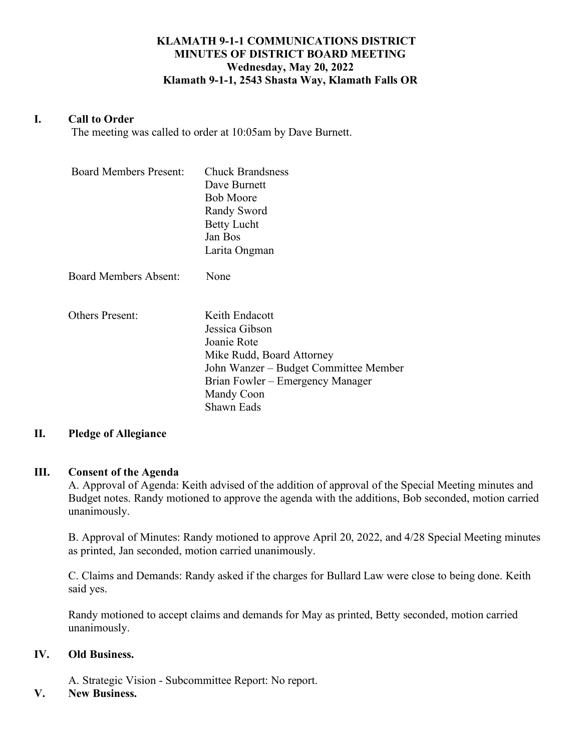# **KLAMATH 9-1-1 COMMUNICATIONS DISTRICT MINUTES OF DISTRICT BOARD MEETING Wednesday, May 20, 2022 Klamath 9-1-1, 2543 Shasta Way, Klamath Falls OR**

### **I. Call to Order**

The meeting was called to order at 10:05am by Dave Burnett.

| <b>Board Members Present:</b> | <b>Chuck Brandsness</b><br>Dave Burnett<br><b>Bob Moore</b><br>Randy Sword<br><b>Betty Lucht</b><br>Jan Bos<br>Larita Ongman                                                          |
|-------------------------------|---------------------------------------------------------------------------------------------------------------------------------------------------------------------------------------|
| <b>Board Members Absent:</b>  | None                                                                                                                                                                                  |
| <b>Others Present:</b>        | Keith Endacott<br>Jessica Gibson<br>Joanie Rote<br>Mike Rudd, Board Attorney<br>John Wanzer – Budget Committee Member<br>Brian Fowler – Emergency Manager<br>Mandy Coon<br>Shawn Eads |

#### **II. Pledge of Allegiance**

#### **III. Consent of the Agenda**

A. Approval of Agenda: Keith advised of the addition of approval of the Special Meeting minutes and Budget notes. Randy motioned to approve the agenda with the additions, Bob seconded, motion carried unanimously.

B. Approval of Minutes: Randy motioned to approve April 20, 2022, and 4/28 Special Meeting minutes as printed, Jan seconded, motion carried unanimously.

C. Claims and Demands: Randy asked if the charges for Bullard Law were close to being done. Keith said yes.

Randy motioned to accept claims and demands for May as printed, Betty seconded, motion carried unanimously.

### **IV. Old Business.**

A. Strategic Vision - Subcommittee Report: No report.

# **V. New Business.**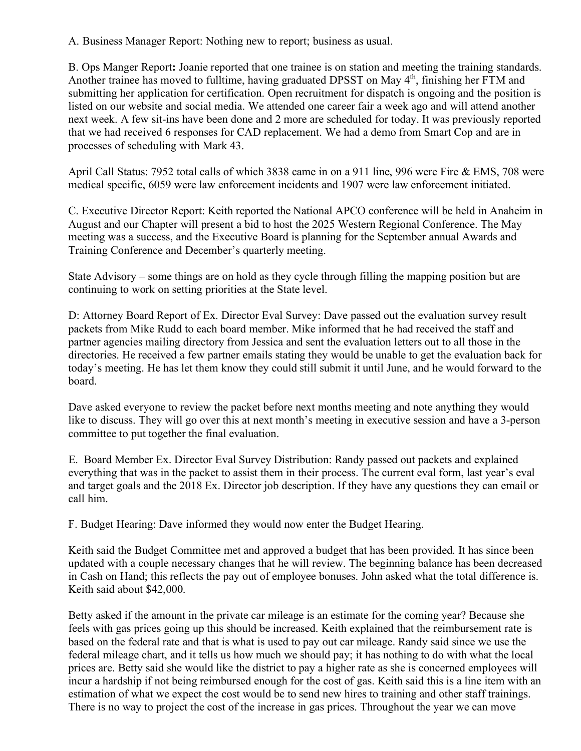A. Business Manager Report: Nothing new to report; business as usual.

B. Ops Manger Report**:** Joanie reported that one trainee is on station and meeting the training standards. Another trainee has moved to fulltime, having graduated DPSST on May 4<sup>th</sup>, finishing her FTM and submitting her application for certification. Open recruitment for dispatch is ongoing and the position is listed on our website and social media. We attended one career fair a week ago and will attend another next week. A few sit-ins have been done and 2 more are scheduled for today. It was previously reported that we had received 6 responses for CAD replacement. We had a demo from Smart Cop and are in processes of scheduling with Mark 43.

April Call Status: 7952 total calls of which 3838 came in on a 911 line, 996 were Fire & EMS, 708 were medical specific, 6059 were law enforcement incidents and 1907 were law enforcement initiated.

C. Executive Director Report: Keith reported the National APCO conference will be held in Anaheim in August and our Chapter will present a bid to host the 2025 Western Regional Conference. The May meeting was a success, and the Executive Board is planning for the September annual Awards and Training Conference and December's quarterly meeting.

State Advisory – some things are on hold as they cycle through filling the mapping position but are continuing to work on setting priorities at the State level.

D: Attorney Board Report of Ex. Director Eval Survey: Dave passed out the evaluation survey result packets from Mike Rudd to each board member. Mike informed that he had received the staff and partner agencies mailing directory from Jessica and sent the evaluation letters out to all those in the directories. He received a few partner emails stating they would be unable to get the evaluation back for today's meeting. He has let them know they could still submit it until June, and he would forward to the board.

Dave asked everyone to review the packet before next months meeting and note anything they would like to discuss. They will go over this at next month's meeting in executive session and have a 3-person committee to put together the final evaluation.

 E. Board Member Ex. Director Eval Survey Distribution: Randy passed out packets and explained everything that was in the packet to assist them in their process. The current eval form, last year's eval and target goals and the 2018 Ex. Director job description. If they have any questions they can email or call him.

F. Budget Hearing: Dave informed they would now enter the Budget Hearing.

Keith said the Budget Committee met and approved a budget that has been provided. It has since been updated with a couple necessary changes that he will review. The beginning balance has been decreased in Cash on Hand; this reflects the pay out of employee bonuses. John asked what the total difference is. Keith said about \$42,000.

Betty asked if the amount in the private car mileage is an estimate for the coming year? Because she feels with gas prices going up this should be increased. Keith explained that the reimbursement rate is based on the federal rate and that is what is used to pay out car mileage. Randy said since we use the federal mileage chart, and it tells us how much we should pay; it has nothing to do with what the local prices are. Betty said she would like the district to pay a higher rate as she is concerned employees will incur a hardship if not being reimbursed enough for the cost of gas. Keith said this is a line item with an estimation of what we expect the cost would be to send new hires to training and other staff trainings. There is no way to project the cost of the increase in gas prices. Throughout the year we can move